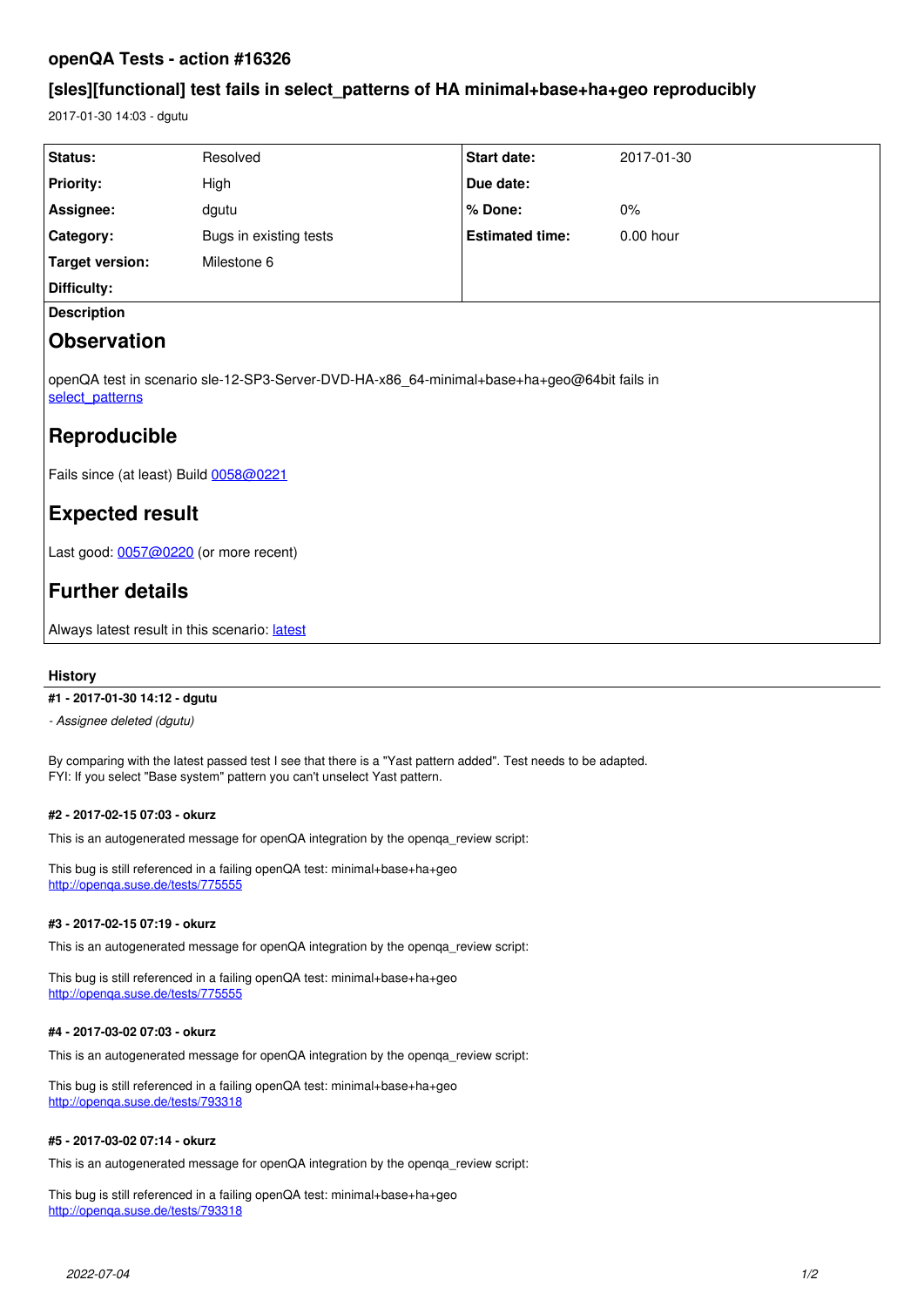# **openQA Tests - action #16326**

# **[sles][functional] test fails in select\_patterns of HA minimal+base+ha+geo reproducibly**

2017-01-30 14:03 - dgutu

| Status:                                                                                                       | Resolved               | Start date:            | 2017-01-30  |
|---------------------------------------------------------------------------------------------------------------|------------------------|------------------------|-------------|
| <b>Priority:</b>                                                                                              | High                   | Due date:              |             |
| Assignee:                                                                                                     | dgutu                  | % Done:                | $0\%$       |
| Category:                                                                                                     | Bugs in existing tests | <b>Estimated time:</b> | $0.00$ hour |
| <b>Target version:</b>                                                                                        | Milestone 6            |                        |             |
| Difficulty:                                                                                                   |                        |                        |             |
| <b>Description</b>                                                                                            |                        |                        |             |
| <b>Observation</b>                                                                                            |                        |                        |             |
| openQA test in scenario sle-12-SP3-Server-DVD-HA-x86_64-minimal+base+ha+geo@64bit fails in<br>select patterns |                        |                        |             |
| Reproducible                                                                                                  |                        |                        |             |
| Fails since (at least) Build 0058@0221                                                                        |                        |                        |             |
| <b>Expected result</b>                                                                                        |                        |                        |             |
| Last good: 0057@0220 (or more recent)                                                                         |                        |                        |             |
| <b>Further details</b>                                                                                        |                        |                        |             |
|                                                                                                               |                        |                        |             |

Always [latest](https://openqa.suse.de/tests/latest?test=minimal%2Bbase%2Bha%2Bgeo&flavor=Server-DVD-HA&version=12-SP3&distri=sle&machine=64bit&arch=x86_64) result in this scenario: latest

# **History**

## **#1 - 2017-01-30 14:12 - dgutu**

*- Assignee deleted (dgutu)*

By comparing with the latest passed test I see that there is a "Yast pattern added". Test needs to be adapted. FYI: If you select "Base system" pattern you can't unselect Yast pattern.

## **#2 - 2017-02-15 07:03 - okurz**

This is an autogenerated message for openQA integration by the openqa\_review script:

This bug is still referenced in a failing openQA test: minimal+base+ha+geo <http://openqa.suse.de/tests/775555>

## **#3 - 2017-02-15 07:19 - okurz**

This is an autogenerated message for openQA integration by the openqa\_review script:

This bug is still referenced in a failing openQA test: minimal+base+ha+geo <http://openqa.suse.de/tests/775555>

## **#4 - 2017-03-02 07:03 - okurz**

This is an autogenerated message for openQA integration by the openqa\_review script:

This bug is still referenced in a failing openQA test: minimal+base+ha+geo <http://openqa.suse.de/tests/793318>

#### **#5 - 2017-03-02 07:14 - okurz**

This is an autogenerated message for openQA integration by the openqa\_review script:

This bug is still referenced in a failing openQA test: minimal+base+ha+geo <http://openqa.suse.de/tests/793318>